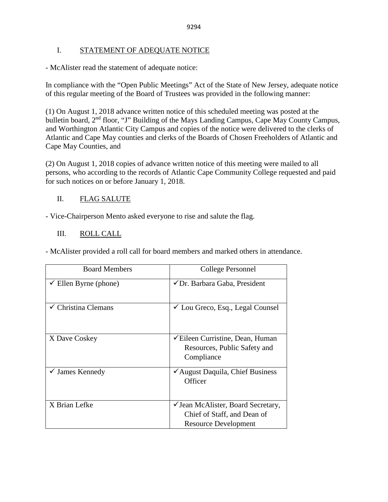## I. STATEMENT OF ADEQUATE NOTICE

- McAlister read the statement of adequate notice:

In compliance with the "Open Public Meetings" Act of the State of New Jersey, adequate notice of this regular meeting of the Board of Trustees was provided in the following manner:

(1) On August 1, 2018 advance written notice of this scheduled meeting was posted at the bulletin board, 2<sup>nd</sup> floor, "J" Building of the Mays Landing Campus, Cape May County Campus, and Worthington Atlantic City Campus and copies of the notice were delivered to the clerks of Atlantic and Cape May counties and clerks of the Boards of Chosen Freeholders of Atlantic and Cape May Counties, and

(2) On August 1, 2018 copies of advance written notice of this meeting were mailed to all persons, who according to the records of Atlantic Cape Community College requested and paid for such notices on or before January 1, 2018.

## II. FLAG SALUTE

- Vice-Chairperson Mento asked everyone to rise and salute the flag.

## III. ROLL CALL

- McAlister provided a roll call for board members and marked others in attendance.

| <b>Board Members</b>             | College Personnel                                                                                    |
|----------------------------------|------------------------------------------------------------------------------------------------------|
| $\checkmark$ Ellen Byrne (phone) | ✔ Dr. Barbara Gaba, President                                                                        |
| Christina Clemans                | $\checkmark$ Lou Greco, Esq., Legal Counsel                                                          |
| X Dave Coskey                    | <del></del> <del></del> Eileen Curristine, Dean, Human<br>Resources, Public Safety and<br>Compliance |
| $\checkmark$ James Kennedy       | ✔ August Daquila, Chief Business<br>Officer                                                          |
| X Brian Lefke                    | ✓ Jean McAlister, Board Secretary,<br>Chief of Staff, and Dean of<br><b>Resource Development</b>     |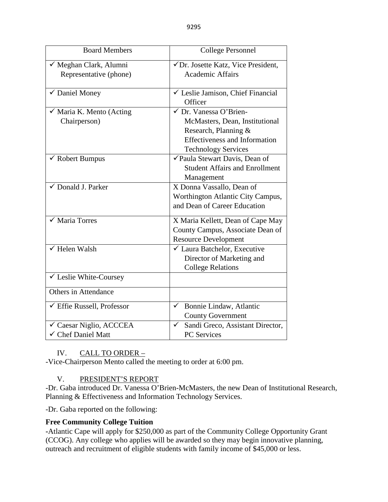| <b>Board Members</b>                                | <b>College Personnel</b>                                                                                                                               |
|-----------------------------------------------------|--------------------------------------------------------------------------------------------------------------------------------------------------------|
| √ Meghan Clark, Alumni<br>Representative (phone)    | √Dr. Josette Katz, Vice President,<br><b>Academic Affairs</b>                                                                                          |
| $\checkmark$ Daniel Money                           | $\checkmark$ Leslie Jamison, Chief Financial<br>Officer                                                                                                |
| $\checkmark$ Maria K. Mento (Acting<br>Chairperson) | √ Dr. Vanessa O'Brien-<br>McMasters, Dean, Institutional<br>Research, Planning &<br><b>Effectiveness and Information</b><br><b>Technology Services</b> |
| $\checkmark$ Robert Bumpus                          | √Paula Stewart Davis, Dean of<br><b>Student Affairs and Enrollment</b><br>Management                                                                   |
| ✔ Donald J. Parker                                  | X Donna Vassallo, Dean of<br>Worthington Atlantic City Campus,<br>and Dean of Career Education                                                         |
| √ Maria Torres                                      | X Maria Kellett, Dean of Cape May<br>County Campus, Associate Dean of<br><b>Resource Development</b>                                                   |
| $\checkmark$ Helen Walsh                            | ✓ Laura Batchelor, Executive<br>Director of Marketing and<br><b>College Relations</b>                                                                  |
| ✓ Leslie White-Coursey                              |                                                                                                                                                        |
| <b>Others in Attendance</b>                         |                                                                                                                                                        |
| $\checkmark$ Effie Russell, Professor               | Bonnie Lindaw, Atlantic<br>$\checkmark$<br><b>County Government</b>                                                                                    |
| ✓ Caesar Niglio, ACCCEA<br>✓ Chef Daniel Matt       | Sandi Greco, Assistant Director,<br>✓<br><b>PC</b> Services                                                                                            |

## IV. CALL TO ORDER –

-Vice-Chairperson Mento called the meeting to order at 6:00 pm.

## V. PRESIDENT'S REPORT

-Dr. Gaba introduced Dr. Vanessa O'Brien-McMasters, the new Dean of Institutional Research, Planning & Effectiveness and Information Technology Services.

-Dr. Gaba reported on the following:

## **Free Community College Tuition**

**-**Atlantic Cape will apply for \$250,000 as part of the Community College Opportunity Grant (CCOG). Any college who applies will be awarded so they may begin innovative planning, outreach and recruitment of eligible students with family income of \$45,000 or less.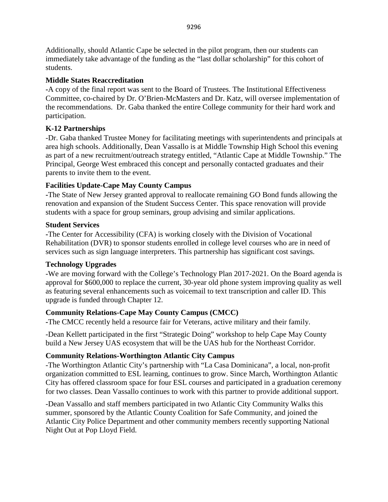Additionally, should Atlantic Cape be selected in the pilot program, then our students can immediately take advantage of the funding as the "last dollar scholarship" for this cohort of students.

### **Middle States Reaccreditation**

**-**A copy of the final report was sent to the Board of Trustees. The Institutional Effectiveness Committee, co-chaired by Dr. O'Brien-McMasters and Dr. Katz, will oversee implementation of the recommendations. Dr. Gaba thanked the entire College community for their hard work and participation.

## **K-12 Partnerships**

-Dr. Gaba thanked Trustee Money for facilitating meetings with superintendents and principals at area high schools. Additionally, Dean Vassallo is at Middle Township High School this evening as part of a new recruitment/outreach strategy entitled, "Atlantic Cape at Middle Township." The Principal, George West embraced this concept and personally contacted graduates and their parents to invite them to the event.

## **Facilities Update-Cape May County Campus**

**-**The State of New Jersey granted approval to reallocate remaining GO Bond funds allowing the renovation and expansion of the Student Success Center. This space renovation will provide students with a space for group seminars, group advising and similar applications.

### **Student Services**

**-**The Center for Accessibility (CFA) is working closely with the Division of Vocational Rehabilitation (DVR) to sponsor students enrolled in college level courses who are in need of services such as sign language interpreters. This partnership has significant cost savings.

## **Technology Upgrades**

-We are moving forward with the College's Technology Plan 2017-2021. On the Board agenda is approval for \$600,000 to replace the current, 30-year old phone system improving quality as well as featuring several enhancements such as voicemail to text transcription and caller ID. This upgrade is funded through Chapter 12.

## **Community Relations-Cape May County Campus (CMCC)**

**-**The CMCC recently held a resource fair for Veterans, active military and their family.

-Dean Kellett participated in the first "Strategic Doing" workshop to help Cape May County build a New Jersey UAS ecosystem that will be the UAS hub for the Northeast Corridor.

## **Community Relations-Worthington Atlantic City Campus**

-The Worthington Atlantic City's partnership with "La Casa Dominicana", a local, non-profit organization committed to ESL learning, continues to grow. Since March, Worthington Atlantic City has offered classroom space for four ESL courses and participated in a graduation ceremony for two classes. Dean Vassallo continues to work with this partner to provide additional support.

-Dean Vassallo and staff members participated in two Atlantic City Community Walks this summer, sponsored by the Atlantic County Coalition for Safe Community, and joined the Atlantic City Police Department and other community members recently supporting National Night Out at Pop Lloyd Field.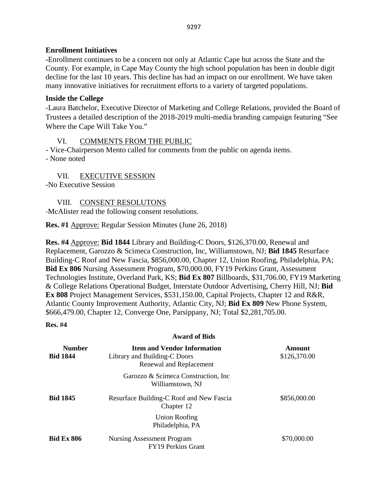## **Enrollment Initiatives**

**-**Enrollment continues to be a concern not only at Atlantic Cape but across the State and the County. For example, in Cape May County the high school population has been in double digit decline for the last 10 years. This decline has had an impact on our enrollment. We have taken many innovative initiatives for recruitment efforts to a variety of targeted populations.

## **Inside the College**

-Laura Batchelor, Executive Director of Marketing and College Relations, provided the Board of Trustees a detailed description of the 2018-2019 multi-media branding campaign featuring "See Where the Cape Will Take You."

# VI. COMMENTS FROM THE PUBLIC

- Vice-Chairperson Mento called for comments from the public on agenda items. - None noted

VII. EXECUTIVE SESSION

-No Executive Session

VIII. CONSENT RESOLUTONS

-McAlister read the following consent resolutions.

**Res. #1** Approve: Regular Session Minutes (June 26, 2018)

**Res. #4** Approve: **Bid 1844** Library and Building-C Doors, \$126,370.00, Renewal and Replacement, Garozzo & Scimeca Construction, Inc, Williamstown, NJ; **Bid 1845** Resurface Building-C Roof and New Fascia, \$856,000.00, Chapter 12, Union Roofing, Philadelphia, PA; **Bid Ex 806** Nursing Assessment Program, \$70,000.00, FY19 Perkins Grant, Assessment Technologies Institute, Overland Park, KS; **Bid Ex 807** Billboards, \$31,706.00, FY19 Marketing & College Relations Operational Budget, Interstate Outdoor Advertising, Cherry Hill, NJ; **Bid Ex 808** Project Management Services, \$531,150.00, Capital Projects, Chapter 12 and R&R, Atlantic County Improvement Authority, Atlantic City, NJ; **Bid Ex 809** New Phone System, \$666,479.00, Chapter 12, Converge One, Parsippany, NJ; Total \$2,281,705.00.

### **Res. #4**

### **Award of Bids**

| <b>Number</b><br><b>Bid 1844</b> | <b>Item and Vendor Information</b><br>Library and Building-C Doors<br>Renewal and Replacement | Amount<br>\$126,370.00 |
|----------------------------------|-----------------------------------------------------------------------------------------------|------------------------|
|                                  | Garozzo & Scimeca Construction, Inc.<br>Williamstown, NJ                                      |                        |
| <b>Bid 1845</b>                  | Resurface Building-C Roof and New Fascia<br>Chapter 12                                        | \$856,000.00           |
|                                  | Union Roofing<br>Philadelphia, PA                                                             |                        |
| <b>Bid Ex 806</b>                | Nursing Assessment Program<br><b>FY19 Perkins Grant</b>                                       | \$70,000.00            |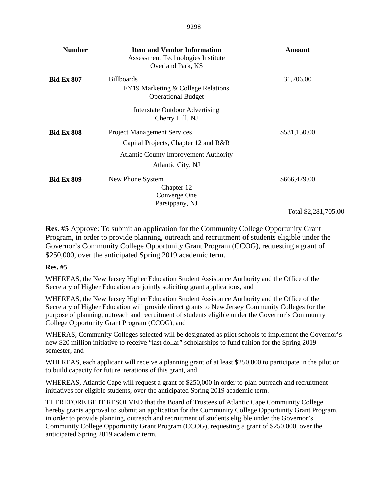| <b>Number</b>     | <b>Item and Vendor Information</b><br>Assessment Technologies Institute<br>Overland Park, KS | Amount               |
|-------------------|----------------------------------------------------------------------------------------------|----------------------|
| <b>Bid Ex 807</b> | <b>Billboards</b><br>FY19 Marketing & College Relations<br><b>Operational Budget</b>         | 31,706.00            |
|                   | <b>Interstate Outdoor Advertising</b><br>Cherry Hill, NJ                                     |                      |
| <b>Bid Ex 808</b> | <b>Project Management Services</b><br>Capital Projects, Chapter 12 and R&R                   | \$531,150.00         |
|                   | <b>Atlantic County Improvement Authority</b><br>Atlantic City, NJ                            |                      |
| <b>Bid Ex 809</b> | New Phone System<br>Chapter 12<br>Converge One<br>Parsippany, NJ                             | \$666,479.00         |
|                   |                                                                                              | Total \$2,281,705.00 |

**Res. #5** Approve: To submit an application for the Community College Opportunity Grant Program, in order to provide planning, outreach and recruitment of students eligible under the Governor's Community College Opportunity Grant Program (CCOG), requesting a grant of \$250,000, over the anticipated Spring 2019 academic term.

#### **Res. #5**

WHEREAS, the New Jersey Higher Education Student Assistance Authority and the Office of the Secretary of Higher Education are jointly soliciting grant applications, and

WHEREAS, the New Jersey Higher Education Student Assistance Authority and the Office of the Secretary of Higher Education will provide direct grants to New Jersey Community Colleges for the purpose of planning, outreach and recruitment of students eligible under the Governor's Community College Opportunity Grant Program (CCOG), and

WHERAS, Community Colleges selected will be designated as pilot schools to implement the Governor's new \$20 million initiative to receive "last dollar" scholarships to fund tuition for the Spring 2019 semester, and

WHEREAS, each applicant will receive a planning grant of at least \$250,000 to participate in the pilot or to build capacity for future iterations of this grant, and

WHEREAS, Atlantic Cape will request a grant of \$250,000 in order to plan outreach and recruitment initiatives for eligible students, over the anticipated Spring 2019 academic term.

THEREFORE BE IT RESOLVED that the Board of Trustees of Atlantic Cape Community College hereby grants approval to submit an application for the Community College Opportunity Grant Program, in order to provide planning, outreach and recruitment of students eligible under the Governor's Community College Opportunity Grant Program (CCOG), requesting a grant of \$250,000, over the anticipated Spring 2019 academic term.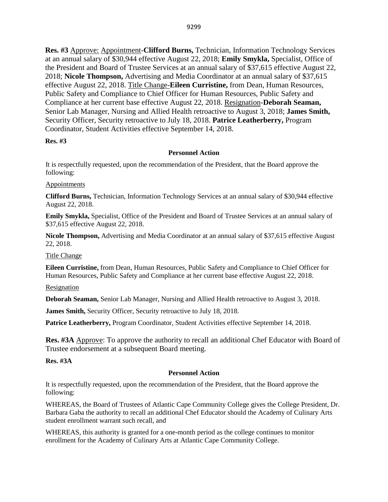**Res. #3** Approve: Appointment-**Clifford Burns,** Technician, Information Technology Services at an annual salary of \$30,944 effective August 22, 2018; **Emily Smykla,** Specialist, Office of the President and Board of Trustee Services at an annual salary of \$37,615 effective August 22, 2018; **Nicole Thompson,** Advertising and Media Coordinator at an annual salary of \$37,615 effective August 22, 2018. Title Change-**Eileen Curristine,** from Dean, Human Resources, Public Safety and Compliance to Chief Officer for Human Resources, Public Safety and Compliance at her current base effective August 22, 2018. Resignation-**Deborah Seaman,**  Senior Lab Manager, Nursing and Allied Health retroactive to August 3, 2018; **James Smith,**  Security Officer, Security retroactive to July 18, 2018. **Patrice Leatherberry,** Program Coordinator, Student Activities effective September 14, 2018.

#### **Res. #3**

#### **Personnel Action**

It is respectfully requested, upon the recommendation of the President, that the Board approve the following:

#### **Appointments**

**Clifford Burns,** Technician, Information Technology Services at an annual salary of \$30,944 effective August 22, 2018.

**Emily Smykla,** Specialist, Office of the President and Board of Trustee Services at an annual salary of \$37,615 effective August 22, 2018.

**Nicole Thompson,** Advertising and Media Coordinator at an annual salary of \$37,615 effective August 22, 2018.

Title Change

**Eileen Curristine,** from Dean, Human Resources, Public Safety and Compliance to Chief Officer for Human Resources, Public Safety and Compliance at her current base effective August 22, 2018.

Resignation

**Deborah Seaman,** Senior Lab Manager, Nursing and Allied Health retroactive to August 3, 2018.

**James Smith,** Security Officer, Security retroactive to July 18, 2018.

**Patrice Leatherberry,** Program Coordinator, Student Activities effective September 14, 2018.

**Res. #3A** Approve: To approve the authority to recall an additional Chef Educator with Board of Trustee endorsement at a subsequent Board meeting.

**Res. #3A**

#### **Personnel Action**

It is respectfully requested, upon the recommendation of the President, that the Board approve the following:

WHEREAS, the Board of Trustees of Atlantic Cape Community College gives the College President, Dr. Barbara Gaba the authority to recall an additional Chef Educator should the Academy of Culinary Arts student enrollment warrant such recall, and

WHEREAS, this authority is granted for a one-month period as the college continues to monitor enrollment for the Academy of Culinary Arts at Atlantic Cape Community College.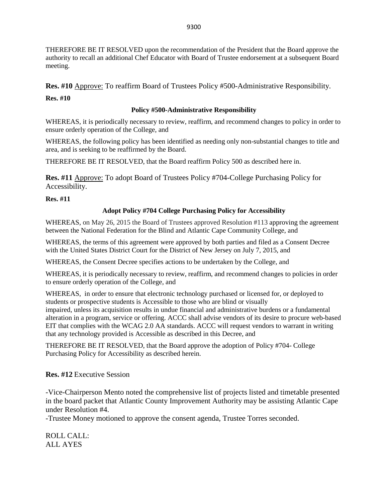THEREFORE BE IT RESOLVED upon the recommendation of the President that the Board approve the authority to recall an additional Chef Educator with Board of Trustee endorsement at a subsequent Board meeting.

**Res. #10** Approve: To reaffirm Board of Trustees Policy #500-Administrative Responsibility.

**Res. #10**

### **Policy #500-Administrative Responsibility**

WHEREAS, it is periodically necessary to review, reaffirm, and recommend changes to policy in order to ensure orderly operation of the College, and

WHEREAS, the following policy has been identified as needing only non-substantial changes to title and area, and is seeking to be reaffirmed by the Board.

THEREFORE BE IT RESOLVED, that the Board reaffirm Policy 500 as described here in.

**Res. #11** Approve: To adopt Board of Trustees Policy #704-College Purchasing Policy for Accessibility.

**Res. #11**

## **Adopt Policy #704 College Purchasing Policy for Accessibility**

WHEREAS, on May 26, 2015 the Board of Trustees approved Resolution #113 approving the agreement between the National Federation for the Blind and Atlantic Cape Community College, and

WHEREAS, the terms of this agreement were approved by both parties and filed as a Consent Decree with the United States District Court for the District of New Jersey on July 7, 2015, and

WHEREAS, the Consent Decree specifies actions to be undertaken by the College, and

WHEREAS, it is periodically necessary to review, reaffirm, and recommend changes to policies in order to ensure orderly operation of the College, and

WHEREAS, in order to ensure that electronic technology purchased or licensed for, or deployed to students or prospective students is Accessible to those who are blind or visually impaired, unless its acquisition results in undue financial and administrative burdens or a fundamental alteration in a program, service or offering. ACCC shall advise vendors of its desire to procure web-based EIT that complies with the WCAG 2.0 AA standards. ACCC will request vendors to warrant in writing that any technology provided is Accessible as described in this Decree, and

THEREFORE BE IT RESOLVED, that the Board approve the adoption of Policy #704- College Purchasing Policy for Accessibility as described herein.

**Res. #12** Executive Session

-Vice-Chairperson Mento noted the comprehensive list of projects listed and timetable presented in the board packet that Atlantic County Improvement Authority may be assisting Atlantic Cape under Resolution #4.

-Trustee Money motioned to approve the consent agenda, Trustee Torres seconded.

ROLL CALL: ALL AYES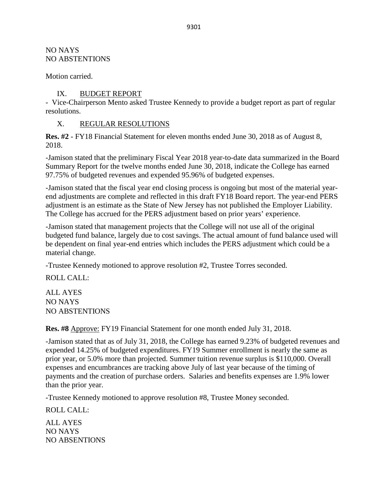NO NAYS NO ABSTENTIONS

Motion carried.

IX. BUDGET REPORT

- Vice-Chairperson Mento asked Trustee Kennedy to provide a budget report as part of regular resolutions.

X. REGULAR RESOLUTIONS

**Res. #2** - FY18 Financial Statement for eleven months ended June 30, 2018 as of August 8, 2018.

-Jamison stated that the preliminary Fiscal Year 2018 year-to-date data summarized in the Board Summary Report for the twelve months ended June 30, 2018, indicate the College has earned 97.75% of budgeted revenues and expended 95.96% of budgeted expenses.

-Jamison stated that the fiscal year end closing process is ongoing but most of the material yearend adjustments are complete and reflected in this draft FY18 Board report. The year-end PERS adjustment is an estimate as the State of New Jersey has not published the Employer Liability. The College has accrued for the PERS adjustment based on prior years' experience.

-Jamison stated that management projects that the College will not use all of the original budgeted fund balance, largely due to cost savings. The actual amount of fund balance used will be dependent on final year-end entries which includes the PERS adjustment which could be a material change.

-Trustee Kennedy motioned to approve resolution #2, Trustee Torres seconded.

ROLL CALL:

ALL AYES NO NAYS NO ABSTENTIONS

**Res. #8** Approve: FY19 Financial Statement for one month ended July 31, 2018.

-Jamison stated that as of July 31, 2018, the College has earned 9.23% of budgeted revenues and expended 14.25% of budgeted expenditures. FY19 Summer enrollment is nearly the same as prior year, or 5.0% more than projected. Summer tuition revenue surplus is \$110,000. Overall expenses and encumbrances are tracking above July of last year because of the timing of payments and the creation of purchase orders. Salaries and benefits expenses are 1.9% lower than the prior year.

-Trustee Kennedy motioned to approve resolution #8, Trustee Money seconded.

ROLL CALL:

ALL AYES NO NAYS NO ABSENTIONS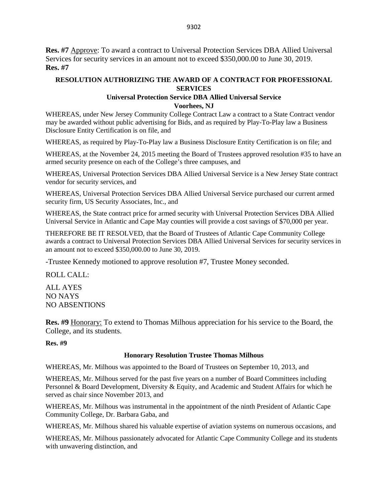**Res. #7** Approve: To award a contract to Universal Protection Services DBA Allied Universal Services for security services in an amount not to exceed \$350,000.00 to June 30, 2019. **Res. #7**

#### **RESOLUTION AUTHORIZING THE AWARD OF A CONTRACT FOR PROFESSIONAL SERVICES**

### **Universal Protection Service DBA Allied Universal Service**

**Voorhees, NJ**

WHEREAS, under New Jersey Community College Contract Law a contract to a State Contract vendor may be awarded without public advertising for Bids, and as required by Play-To-Play law a Business Disclosure Entity Certification is on file, and

WHEREAS, as required by Play-To-Play law a Business Disclosure Entity Certification is on file; and

WHEREAS, at the November 24, 2015 meeting the Board of Trustees approved resolution #35 to have an armed security presence on each of the College's three campuses, and

WHEREAS, Universal Protection Services DBA Allied Universal Service is a New Jersey State contract vendor for security services, and

WHEREAS, Universal Protection Services DBA Allied Universal Service purchased our current armed security firm, US Security Associates, Inc., and

WHEREAS, the State contract price for armed security with Universal Protection Services DBA Allied Universal Service in Atlantic and Cape May counties will provide a cost savings of \$70,000 per year.

THEREFORE BE IT RESOLVED, that the Board of Trustees of Atlantic Cape Community College awards a contract to Universal Protection Services DBA Allied Universal Services for security services in an amount not to exceed \$350,000.00 to June 30, 2019.

-Trustee Kennedy motioned to approve resolution #7, Trustee Money seconded.

ROLL CALL:

ALL AYES NO NAYS NO ABSENTIONS

**Res. #9** Honorary: To extend to Thomas Milhous appreciation for his service to the Board, the College, and its students.

**Res. #9**

#### **Honorary Resolution Trustee Thomas Milhous**

WHEREAS, Mr. Milhous was appointed to the Board of Trustees on September 10, 2013, and

WHEREAS, Mr. Milhous served for the past five years on a number of Board Committees including Personnel & Board Development, Diversity & Equity, and Academic and Student Affairs for which he served as chair since November 2013, and

WHEREAS, Mr. Milhous was instrumental in the appointment of the ninth President of Atlantic Cape Community College, Dr. Barbara Gaba, and

WHEREAS, Mr. Milhous shared his valuable expertise of aviation systems on numerous occasions, and

WHEREAS, Mr. Milhous passionately advocated for Atlantic Cape Community College and its students with unwavering distinction, and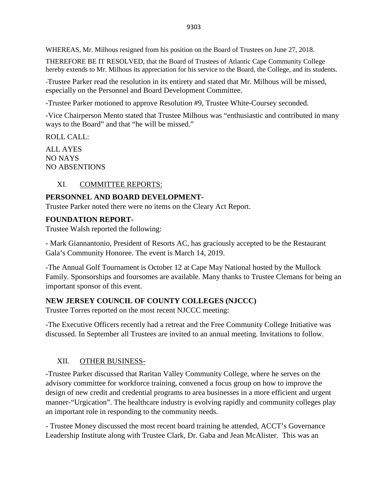WHEREAS, Mr. Milhous resigned from his position on the Board of Trustees on June 27, 2018.

THEREFORE BE IT RESOLVED, that the Board of Trustees of Atlantic Cape Community College hereby extends to Mr. Milhous its appreciation for his service to the Board, the College, and its students.

-Trustee Parker read the resolution in its entirety and stated that Mr. Milhous will be missed, especially on the Personnel and Board Development Committee.

-Trustee Parker motioned to approve Resolution #9, Trustee White-Coursey seconded.

-Vice Chairperson Mento stated that Trustee Milhous was "enthusiastic and contributed in many ways to the Board" and that "he will be missed."

ROLL CALL:

ALL AYES NO NAYS NO ABSENTIONS

## XI. COMMITTEE REPORTS:

### **PERSONNEL AND BOARD DEVELOPMENT-**

Trustee Parker noted there were no items on the Cleary Act Report.

### **FOUNDATION REPORT-**

Trustee Walsh reported the following:

- Mark Giannantonio, President of Resorts AC, has graciously accepted to be the Restaurant Gala's Community Honoree. The event is March 14, 2019.

-The Annual Golf Tournament is October 12 at Cape May National hosted by the Mullock Family. Sponsorships and foursomes are available. Many thanks to Trustee Clemans for being an important sponsor of this event.

## **NEW JERSEY COUNCIL OF COUNTY COLLEGES (NJCCC)**

Trustee Torres reported on the most recent NJCCC meeting:

-The Executive Officers recently had a retreat and the Free Community College Initiative was discussed. In September all Trustees are invited to an annual meeting. Invitations to follow.

### XII. OTHER BUSINESS-

-Trustee Parker discussed that Raritan Valley Community College, where he serves on the advisory committee for workforce training, convened a focus group on how to improve the design of new credit and credential programs to area businesses in a more efficient and urgent manner-"Urgication". The healthcare industry is evolving rapidly and community colleges play an important role in responding to the community needs.

- Trustee Money discussed the most recent board training he attended, ACCT's Governance Leadership Institute along with Trustee Clark, Dr. Gaba and Jean McAlister. This was an